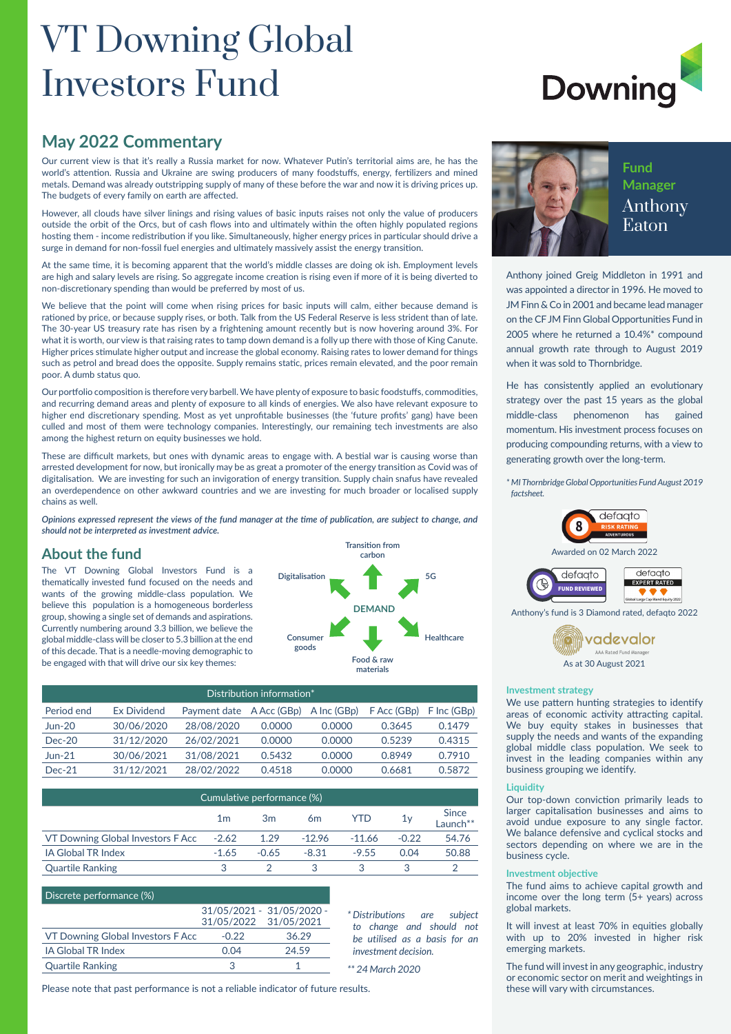## VT Downing Global Investors Fund

# **Downing**

### **May 2022 Commentary**

Our current view is that it's really a Russia market for now. Whatever Putin's territorial aims are, he has the world's attention. Russia and Ukraine are swing producers of many foodstuffs, energy, fertilizers and mined metals. Demand was already outstripping supply of many of these before the war and now it is driving prices up. The budgets of every family on earth are affected.

However, all clouds have silver linings and rising values of basic inputs raises not only the value of producers outside the orbit of the Orcs, but of cash flows into and ultimately within the often highly populated regions hosting them - income redistribution if you like. Simultaneously, higher energy prices in particular should drive a surge in demand for non-fossil fuel energies and ultimately massively assist the energy transition.

At the same time, it is becoming apparent that the world's middle classes are doing ok ish. Employment levels are high and salary levels are rising. So aggregate income creation is rising even if more of it is being diverted to non-discretionary spending than would be preferred by most of us.

We believe that the point will come when rising prices for basic inputs will calm, either because demand is rationed by price, or because supply rises, or both. Talk from the US Federal Reserve is less strident than of late. The 30-year US treasury rate has risen by a frightening amount recently but is now hovering around 3%. For what it is worth, our view is that raising rates to tamp down demand is a folly up there with those of King Canute. Higher prices stimulate higher output and increase the global economy. Raising rates to lower demand for things such as petrol and bread does the opposite. Supply remains static, prices remain elevated, and the poor remain poor. A dumb status quo.

Our portfolio composition is therefore very barbell. We have plenty of exposure to basic foodstuffs, commodities, and recurring demand areas and plenty of exposure to all kinds of energies. We also have relevant exposure to higher end discretionary spending. Most as yet unprofitable businesses (the 'future profits' gang) have been culled and most of them were technology companies. Interestingly, our remaining tech investments are also among the highest return on equity businesses we hold.

These are difficult markets, but ones with dynamic areas to engage with. A bestial war is causing worse than arrested development for now, but ironically may be as great a promoter of the energy transition as Covid was of digitalisation. We are investing for such an invigoration of energy transition. Supply chain snafus have revealed an overdependence on other awkward countries and we are investing for much broader or localised supply chains as well.

*Opinions expressed represent the views of the fund manager at the time of publication, are subject to change, and should not be interpreted as investment advice.*

### **About the fund**

The VT Downing Global Investors Fund is a thematically invested fund focused on the needs and wants of the growing middle-class population. We believe this population is a homogeneous borderless group, showing a single set of demands and aspirations. Currently numbering around [3.3 billion,](https://ec.europa.eu/knowledge4policy/growing-consumerism) we believe the global middle-class will be closer to 5.3 billion at the end of this decade. That is a needle-moving demographic to be engaged with that will drive our six key themes:



| Distribution information* |                    |                                      |        |        |             |             |
|---------------------------|--------------------|--------------------------------------|--------|--------|-------------|-------------|
| Period end                | <b>Ex Dividend</b> | Payment date A Acc (GBp) A Inc (GBp) |        |        | F Acc (GBp) | F Inc (GBp) |
| <b>Jun-20</b>             | 30/06/2020         | 28/08/2020                           | 0.0000 | 0.0000 | 0.3645      | 0.1479      |
| $Dec-20$                  | 31/12/2020         | 26/02/2021                           | 0.0000 | 0.0000 | 0.5239      | 0.4315      |
| $J$ un-21                 | 30/06/2021         | 31/08/2021                           | 0.5432 | 0.0000 | 0.8949      | 0.7910      |
| $Dec-21$                  | 31/12/2021         | 28/02/2022                           | 0.4518 | 0.0000 | 0.6681      | 0.5872      |

| Cumulative performance (%)        |                |                |                |          |         |                                      |
|-----------------------------------|----------------|----------------|----------------|----------|---------|--------------------------------------|
|                                   | 1 <sub>m</sub> | 3 <sub>m</sub> | 6 <sub>m</sub> | YTD      | 1v      | <b>Since</b><br>Launch <sup>**</sup> |
| VT Downing Global Investors F Acc | $-2.62$        | 1.29           | $-12.96$       | $-11.66$ | $-0.22$ | 54.76                                |
| <b>IA Global TR Index</b>         | $-1.65$        | $-0.65$        | $-8.31$        | $-9.55$  | 0.04    | 50.88                                |
| <b>Quartile Ranking</b>           |                |                |                |          |         |                                      |

| Discrete performance (%)          |                       |                           |
|-----------------------------------|-----------------------|---------------------------|
|                                   |                       | 31/05/2021 - 31/05/2020 - |
|                                   | 31/05/2022 31/05/2021 |                           |
| VT Downing Global Investors F Acc | $-0.22$               | 36.29                     |
| <b>IA Global TR Index</b>         | 0.04                  | 24.59                     |
| <b>Quartile Ranking</b>           | З                     |                           |

*\* Distributions are subject to change and should not be utilised as a basis for an investment decision.*

*\*\* 24 March 2020*

Please note that past performance is not a reliable indicator of future results.



Anthony joined Greig Middleton in 1991 and was appointed a director in 1996. He moved to JM Finn & Co in 2001 and became lead manager on the CF JM Finn Global Opportunities Fund in 2005 where he returned a 10.4%\* compound annual growth rate through to August 2019 when it was sold to Thornbridge.

He has consistently applied an evolutionary strategy over the past 15 years as the global middle-class phenomenon has gained momentum. His investment process focuses on producing compounding returns, with a view to generating growth over the long-term.

*\* MI Thornbridge Global Opportunities Fund August 2019 factsheet.*



Awarded on 02 March 2022



Anthony's fund is 3 Diamond rated, defaqto 2022



#### **Investment strategy**

We use pattern hunting strategies to identify areas of economic activity attracting capital. We buy equity stakes in businesses that supply the needs and wants of the expanding global middle class population. We seek to invest in the leading companies within any business grouping we identify.

### **Liquidity**

Our top-down conviction primarily leads to larger capitalisation businesses and aims to avoid undue exposure to any single factor. We balance defensive and cyclical stocks and sectors depending on where we are in the business cycle.

#### **Investment objective**

The fund aims to achieve capital growth and income over the long term (5+ years) across global markets.

It will invest at least 70% in equities globally with up to 20% invested in higher risk emerging markets.

The fund will invest in any geographic, industry or economic sector on merit and weightings in these will vary with circumstances.